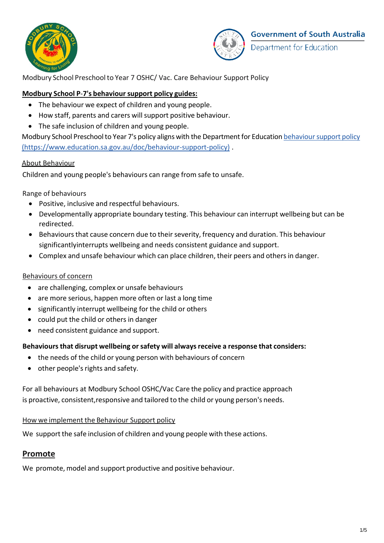



Modbury School Preschool to Year 7 OSHC/ Vac. Care Behaviour Support Policy

### **Modbury School P**-**7's behaviour support policy guides:**

- The behaviour we expect of children and young people.
- How staff, parents and carers will support positive behaviour.
- The safe inclusion of children and young people.

Modbury School Preschool to Year 7's policy aligns with the Department for Education behaviour support policy [\(https://www.education.sa.gov.au/doc/behaviour-support-policy\)](http://www.education.sa.gov.au/doc/behaviour-support-policy)) .

#### About Behaviour

Children and young people's behaviours can range from safe to unsafe.

Range of behaviours

- Positive, inclusive and respectful behaviours.
- Developmentally appropriate boundary testing. This behaviour can interrupt wellbeing but can be redirected.
- Behaviours that cause concern due to their severity, frequency and duration. This behaviour significantl[yinterrupts](https://www.education.sa.gov.au/doc/behaviour-support-policy) wellbeing and needs consistent guidance and support.
- Complex and unsafe behaviour which can place children, their peers and othersin danger.

### Behaviours of concern

- are challenging, complex or unsafe behaviours
- are more serious, happen more often or last a long time
- significantly interrupt wellbeing for the child or others
- could put the child or others in danger
- need consistent guidance and support.

#### **Behavioursthat disrupt wellbeing orsafety will alwaysreceive a response that considers:**

- the needs of the child or young person with behaviours of concern
- other people's rights and safety.

For all behaviours at Modbury School OSHC/Vac Care the policy and practice approach is proactive, consistent, responsive and tailored to the child or young person's needs.

#### How we implement the Behaviour Support policy

We support the safe inclusion of children and young people with these actions.

### **Promote**

We promote, model and support productive and positive behaviour.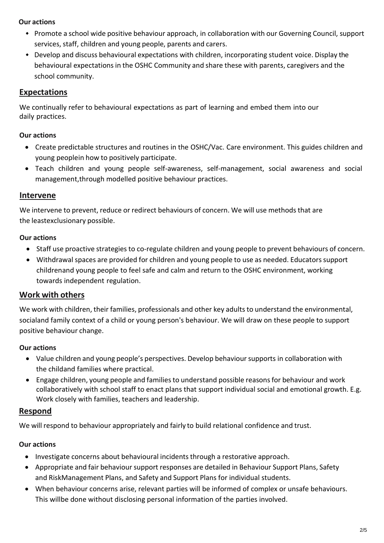#### **Our actions**

- Promote a school wide positive behaviour approach, in collaboration with our Governing Council, support services, staff, children and young people, parents and carers.
- Develop and discuss behavioural expectations with children, incorporating student voice. Display the behavioural expectations in the OSHC Community and share these with parents, caregivers and the school community.

### **Expectations**

We continually refer to behavioural expectations as part of learning and embed them into our daily practices.

#### **Our actions**

- Create predictable structures and routines in the OSHC/Vac. Care environment. This guides children and young peoplein how to positively participate.
- Teach children and young people self-awareness, self-management, social awareness and social management,through modelled positive behaviour practices.

### **Intervene**

We intervene to prevent, reduce or redirect behaviours of concern. We will use methods that are the leastexclusionary possible.

#### **Our actions**

- Staff use proactive strategies to co-regulate children and young people to prevent behaviours of concern.
- Withdrawal spaces are provided for children and young people to use as needed. Educatorssupport childrenand young people to feel safe and calm and return to the OSHC environment, working towards independent regulation.

# **Work with others**

We work with children, their families, professionals and other key adults to understand the environmental, socialand family context of a child or young person's behaviour. We will draw on these people to support positive behaviour change.

### **Our actions**

- Value children and young people's perspectives. Develop behaviour supports in collaboration with the childand families where practical.
- Engage children, young people and familiesto understand possible reasonsfor behaviour and work collaboratively with school staff to enact plans that support individual social and emotional growth. E.g. Work closely with families, teachers and leadership.

# **Respond**

We will respond to behaviour appropriately and fairly to build relational confidence and trust.

### **Our actions**

- Investigate concerns about behavioural incidents through a restorative approach.
- Appropriate and fair behaviour support responses are detailed in Behaviour Support Plans, Safety and RiskManagement Plans, and Safety and Support Plans for individual students.
- When behaviour concerns arise, relevant parties will be informed of complex or unsafe behaviours. This willbe done without disclosing personal information of the parties involved.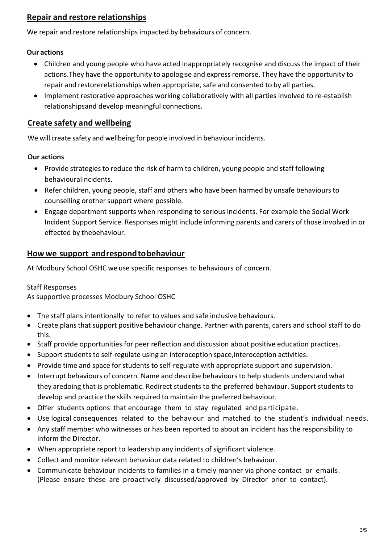# **Repair and restore relationships**

We repair and restore relationships impacted by behaviours of concern.

### **Our actions**

- Children and young people who have acted inappropriately recognise and discuss the impact of their actions.They have the opportunity to apologise and expressremorse. They have the opportunity to repair and restorerelationships when appropriate, safe and consented to by all parties.
- Implement restorative approaches working collaboratively with all parties involved to re-establish relationshipsand develop meaningful connections.

# **Create safety and wellbeing**

We will create safety and wellbeing for people involved in behaviour incidents.

# **Our actions**

- Provide strategies to reduce the risk of harm to children, young people and staff following behaviouralincidents.
- Refer children, young people, staff and others who have been harmed by unsafe behaviours to counselling orother support where possible.
- Engage department supports when responding to serious incidents. For example the Social Work Incident Support Service. Responses might include informing parents and carers of those involved in or effected by thebehaviour.

# **Howwe support andrespondtobehaviour**

At Modbury School OSHC we use specific responses to behaviours of concern.

### Staff Responses

As supportive processes Modbury School OSHC

- The staff plans intentionally to refer to values and safe inclusive behaviours.
- Create plans that support positive behaviour change. Partner with parents, carers and school staff to do this.
- Staff provide opportunities for peer reflection and discussion about positive education practices.
- Support students to self-regulate using an interoception space, interoception activities.
- Provide time and space for students to self-regulate with appropriate support and supervision.
- Interrupt behaviours of concern. Name and describe behaviours to help students understand what they aredoing that is problematic. Redirect students to the preferred behaviour. Support students to develop and practice the skills required to maintain the preferred behaviour.
- Offer students options that encourage them to stay regulated and participate.
- Use logical consequences related to the behaviour and matched to the student's individual needs.
- Any staff member who witnesses or has been reported to about an incident has the responsibility to inform the Director.
- When appropriate report to leadership any incidents of significant violence.
- Collect and monitor relevant behaviour data related to children's behaviour.
- Communicate behaviour incidents to families in a timely manner via phone contact or emails. (Please ensure these are proactively discussed/approved by Director prior to contact).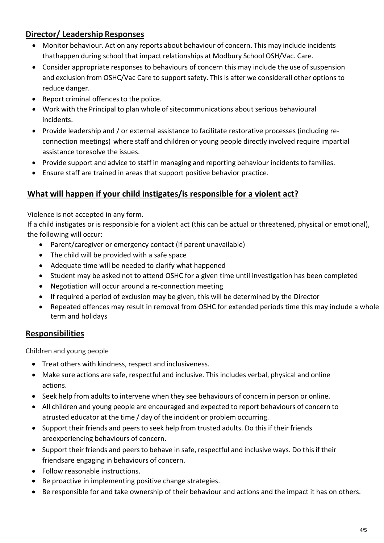# **Director/ Leadership Responses**

- Monitor behaviour. Act on any reports about behaviour of concern. This may include incidents thathappen during school that impact relationships at Modbury School OSH/Vac. Care.
- Consider appropriate responses to behaviours of concern this may include the use of suspension and exclusion from OSHC/Vac Care to support safety. Thisis after we considerall other options to reduce danger.
- Report criminal offences to the police.
- Work with the Principal to plan whole of sitecommunications about serious behavioural incidents.
- Provide leadership and / or external assistance to facilitate restorative processes (including reconnection meetings) where staff and children or young people directly involved require impartial assistance toresolve the issues.
- Provide support and advice to staff in managing and reporting behaviour incidents to families.
- Ensure staff are trained in areas that support positive behavior practice.

# **What will happen if your child instigates/is responsible for a violent act?**

Violence is not accepted in any form.

If a child instigates or is responsible for a violent act (this can be actual or threatened, physical or emotional), the following will occur:

- Parent/caregiver or emergency contact (if parent unavailable)
- The child will be provided with a safe space
- Adequate time will be needed to clarify what happened
- Student may be asked not to attend OSHC for a given time until investigation has been completed
- Negotiation will occur around a re-connection meeting
- If required a period of exclusion may be given, this will be determined by the Director
- Repeated offences may result in removal from OSHC for extended periods time this may include a whole term and holidays

# **Responsibilities**

Children and young people

- Treat others with kindness, respect and inclusiveness.
- Make sure actions are safe, respectful and inclusive. This includes verbal, physical and online actions.
- Seek help from adults to intervene when they see behaviours of concern in person or online.
- All children and young people are encouraged and expected to report behaviours of concern to atrusted educator at the time / day of the incident or problem occurring.
- Support their friends and peers to seek help from trusted adults. Do this if their friends areexperiencing behaviours of concern.
- Support their friends and peers to behave in safe, respectful and inclusive ways. Do this if their friendsare engaging in behaviours of concern.
- Follow reasonable instructions.
- Be proactive in implementing positive change strategies.
- Be responsible for and take ownership of their behaviour and actions and the impact it has on others.